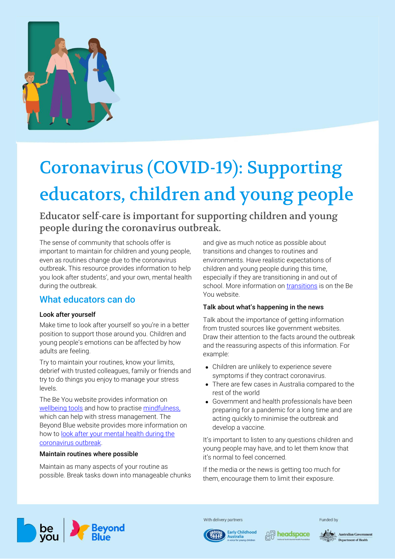

# Coronavirus (COVID-19): Supporting educators, children and young people

Educator self-care is important for supporting children and young people during the coronavirus outbreak.

The sense of community that schools offer is important to maintain for children and young people, even as routines change due to the coronavirus outbreak. This resource provides information to help you look after students', and your own, mental health during the outbreak.

# What educators can do

## Look after yourself

Make time to look after yourself so you're in a better position to support those around you. Children and young people's emotions can be affected by how adults are feeling.

Try to maintain your routines, know your limits, debrief with trusted colleagues, family or friends and try to do things you enjoy to manage your stress levels.

The Be You website provides information on [wellbeing tools](https://beyou.edu.au/resources/tools-and-guides/wellbeing-tools-for-you) and how to practise [mindfulness,](https://beyou.edu.au/fact-sheets/wellbeing/mindfulness) which can help with stress management. The Beyond Blue website provides more information on how to [look after your mental health during the](https://www.beyondblue.org.au/the-facts/looking-after-your-mental-health-during-the-coronavirus-outbreak)  [coronavirus outbreak.](https://www.beyondblue.org.au/the-facts/looking-after-your-mental-health-during-the-coronavirus-outbreak)

#### Maintain routines where possible

Maintain as many aspects of your routine as possible. Break tasks down into manageable chunks and give as much notice as possible about transitions and changes to routines and environments. Have realistic expectations of children and young people during this time, especially if they are transitioning in and out of school. More information on [transitions](https://beyou.edu.au/resources/news/healthy-transitions) is on the Be You website.

## Talk about what's happening in the news

Talk about the importance of getting information from trusted sources like government websites. Draw their attention to the facts around the outbreak and the reassuring aspects of this information. For example:

- Children are unlikely to experience severe symptoms if they contract coronavirus.
- There are few cases in Australia compared to the rest of the world
- Government and health professionals have been preparing for a pandemic for a long time and are acting quickly to minimise the outbreak and develop a vaccine.

It's important to listen to any questions children and young people may have, and to let them know that it's normal to feel concerned.

If the media or the news is getting too much for them, encourage them to limit their exposure.



With delivery partners

**Early Childhood** 





Funded by